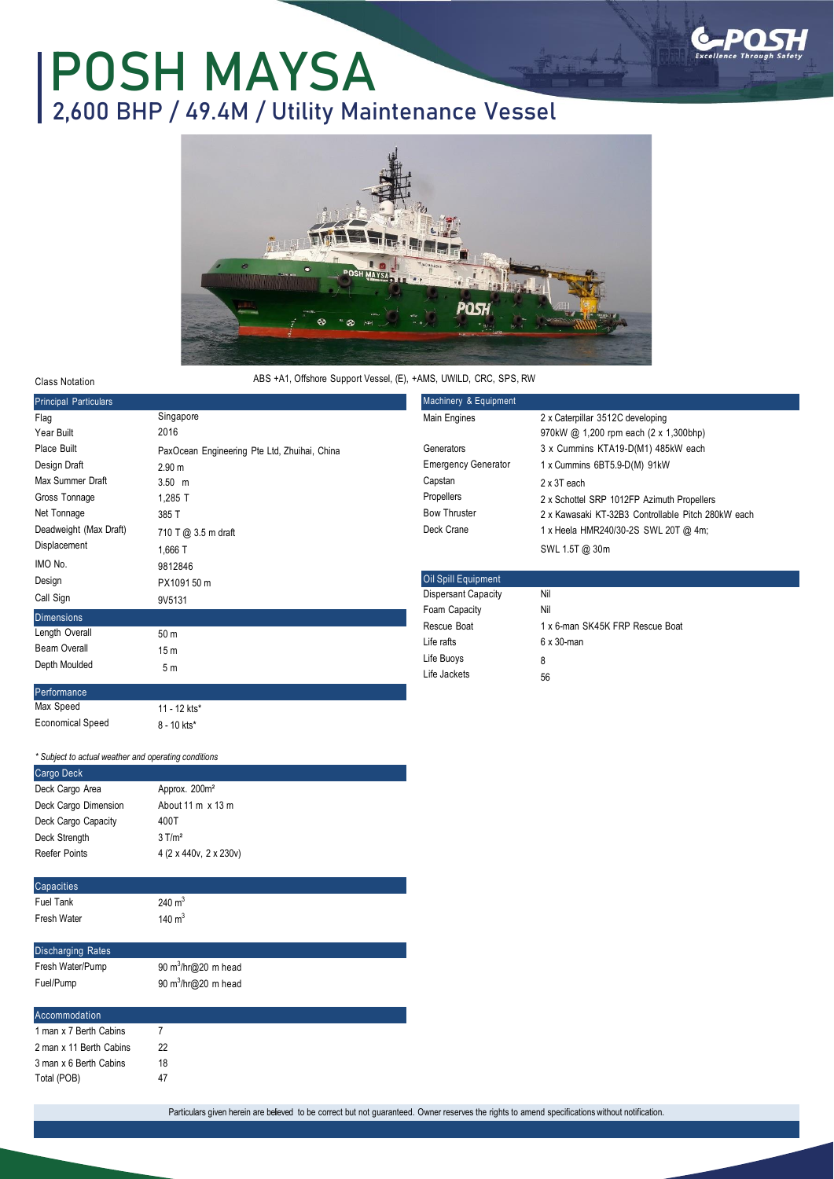## **POSH MAYSA 2,600 BHP / 49.4M / Utility Maintenance Vessel**



Class Notation

ABS +A1, Offshore Support Vessel, (E), +AMS, UWILD, CRC, SPS, RW

| <b>Principal Particulars</b>                                                                                                         |                                                                                                                                                | Machinery & Equipment                                                                                  |                                                                                                                                                                                                                                                 |  |
|--------------------------------------------------------------------------------------------------------------------------------------|------------------------------------------------------------------------------------------------------------------------------------------------|--------------------------------------------------------------------------------------------------------|-------------------------------------------------------------------------------------------------------------------------------------------------------------------------------------------------------------------------------------------------|--|
| Flag<br>Year Built                                                                                                                   | Singapore<br>2016                                                                                                                              | Main Engines                                                                                           | 2 x Caterpillar 3512C developing<br>970kW @ 1,200 rpm each (2 x 1,300bhp)                                                                                                                                                                       |  |
| Place Built<br>Design Draft<br>Max Summer Draft<br>Gross Tonnage<br>Net Tonnage<br>Deadweight (Max Draft)<br>Displacement<br>IMO No. | PaxOcean Engineering Pte Ltd, Zhuihai, China<br>2.90 <sub>m</sub><br>$3.50$ m<br>1,285 T<br>385 T<br>710 T @ 3.5 m draft<br>1,666 T<br>9812846 | Generators<br><b>Emergency Generator</b><br>Capstan<br>Propellers<br><b>Bow Thruster</b><br>Deck Crane | 3 x Cummins KTA19-D(M1) 485kW each<br>1 x Cummins 6BT5.9-D(M) 91kW<br>2 x 3T each<br>2 x Schottel SRP 1012FP Azimuth Propellers<br>2 x Kawasaki KT-32B3 Controllable Pitch 280kW each<br>1 x Heela HMR240/30-2S SWL 20T @ 4m;<br>SWL 1.5T @ 30m |  |
| Design<br>Call Sign                                                                                                                  | PX109150 m<br>9V5131                                                                                                                           | Oil Spill Equipment<br><b>Dispersant Capacity</b>                                                      | Nil                                                                                                                                                                                                                                             |  |
| Dimensions<br>Length Overall<br>Beam Overall<br>Depth Moulded                                                                        | 50 m<br>15 <sub>m</sub><br>5m                                                                                                                  | Foam Capacity<br>Rescue Boat<br>Life rafts<br>Life Buoys<br>Life Jackets                               | Nil<br>1 x 6-man SK45K FRP Rescue Boat<br>$6 \times 30$ -man<br>8<br>56                                                                                                                                                                         |  |
| Performance<br>Max Speed                                                                                                             | $11 - 12$ kts*                                                                                                                                 |                                                                                                        |                                                                                                                                                                                                                                                 |  |

*\* Subject to actual weather and operating conditions*

8 - 10 kts\*

Economical Speed

| Cargo Deck               |                             |  |
|--------------------------|-----------------------------|--|
| Deck Cargo Area          | Approx. 200m <sup>2</sup>   |  |
| Deck Cargo Dimension     | About 11 m x 13 m           |  |
| Deck Cargo Capacity      | 400T                        |  |
| Deck Strength            | $3$ T/m <sup>2</sup>        |  |
| <b>Reefer Points</b>     | 4 (2 x 440v, 2 x 230v)      |  |
|                          |                             |  |
| Capacities               |                             |  |
| <b>Fuel Tank</b>         | 240 $m3$                    |  |
| Fresh Water              | 140 $m3$                    |  |
|                          |                             |  |
|                          |                             |  |
| <b>Discharging Rates</b> |                             |  |
| Fresh Water/Pump         | 90 $m^3/hr$ ( $Q$ 20 m head |  |
| Fuel/Pump                | 90 $m^3/hr$ ( $Q$ 20 m head |  |
|                          |                             |  |
| Accommodation            |                             |  |
| 1 man x 7 Berth Cabins   | 7                           |  |
| 2 man x 11 Berth Cabins  | 22                          |  |
| 3 man x 6 Berth Cabins   | 18                          |  |